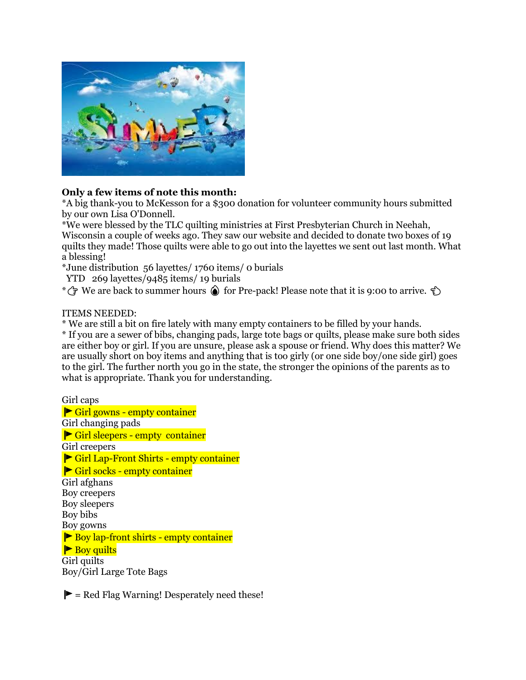

## **Only a few items of note this month:**

\*A big thank-you to McKesson for a \$300 donation for volunteer community hours submitted by our own Lisa O'Donnell.

\*We were blessed by the TLC quilting ministries at First Presbyterian Church in Neehah, Wisconsin a couple of weeks ago. They saw our website and decided to donate two boxes of 19 quilts they made! Those quilts were able to go out into the layettes we sent out last month. What a blessing!

\*June distribution 56 layettes/ 1760 items/ 0 burials

YTD 269 layettes/9485 items/ 19 burials

\*  $\rightarrow$  We are back to summer hours  $\circledast$  for Pre-pack! Please note that it is 9:00 to arrive.

## ITEMS NEEDED:

\* We are still a bit on fire lately with many empty containers to be filled by your hands.

\* If you are a sewer of bibs, changing pads, large tote bags or quilts, please make sure both sides are either boy or girl. If you are unsure, please ask a spouse or friend. Why does this matter? We are usually short on boy items and anything that is too girly (or one side boy/one side girl) goes to the girl. The further north you go in the state, the stronger the opinions of the parents as to what is appropriate. Thank you for understanding.

Girl caps Girl gowns - empty container Girl changing pads ▶ Girl sleepers - empty container Girl creepers Girl Lap-Front Shirts - empty container Girl socks - empty container Girl afghans Boy creepers Boy sleepers Boy bibs Boy gowns Boy lap-front shirts - empty container  $\blacktriangleright$  Boy quilts Girl quilts Boy/Girl Large Tote Bags

 $\blacktriangleright$  = Red Flag Warning! Desperately need these!